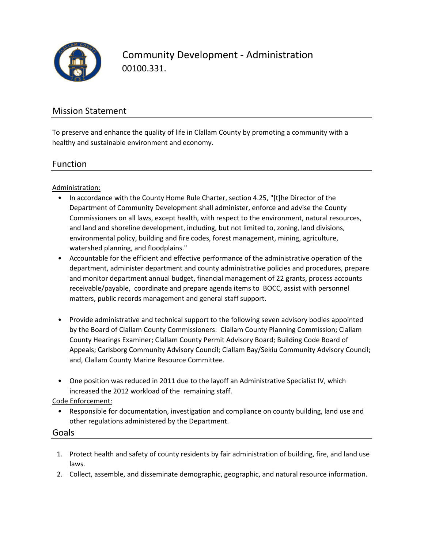

Community Development - Administration 00100.331.

#### Mission Statement

To preserve and enhance the quality of life in Clallam County by promoting a community with a healthy and sustainable environment and economy.

#### Function

Administration:

- In accordance with the County Home Rule Charter, section 4.25, "[t]he Director of the Department of Community Development shall administer, enforce and advise the County Commissioners on all laws, except health, with respect to the environment, natural resources, and land and shoreline development, including, but not limited to, zoning, land divisions, environmental policy, building and fire codes, forest management, mining, agriculture, watershed planning, and floodplains."
- Accountable for the efficient and effective performance of the administrative operation of the department, administer department and county administrative policies and procedures, prepare and monitor department annual budget, financial management of 22 grants, process accounts receivable/payable, coordinate and prepare agenda items to BOCC, assist with personnel matters, public records management and general staff support.
- Provide administrative and technical support to the following seven advisory bodies appointed by the Board of Clallam County Commissioners: Clallam County Planning Commission; Clallam County Hearings Examiner; Clallam County Permit Advisory Board; Building Code Board of Appeals; Carlsborg Community Advisory Council; Clallam Bay/Sekiu Community Advisory Council; and, Clallam County Marine Resource Committee.
- One position was reduced in 2011 due to the layoff an Administrative Specialist IV, which increased the 2012 workload of the remaining staff.

#### Code Enforcement:

- Responsible for documentation, investigation and compliance on county building, land use and other regulations administered by the Department.
- Goals
	- 1. Protect health and safety of county residents by fair administration of building, fire, and land use laws.
	- 2. Collect, assemble, and disseminate demographic, geographic, and natural resource information.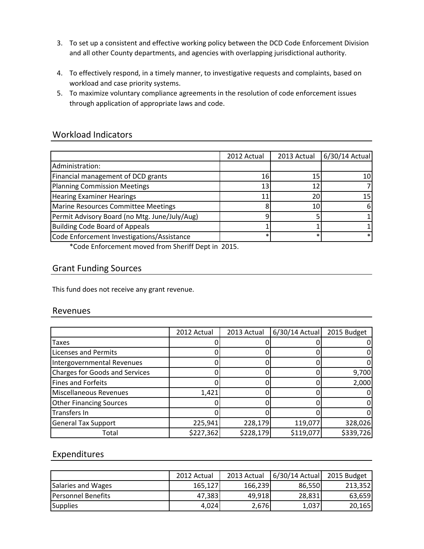- 3. To set up a consistent and effective working policy between the DCD Code Enforcement Division and all other County departments, and agencies with overlapping jurisdictional authority.
- 4. To effectively respond, in a timely manner, to investigative requests and complaints, based on workload and case priority systems.
- 5. To maximize voluntary compliance agreements in the resolution of code enforcement issues through application of appropriate laws and code.

## Workload Indicators

|                                               | 2012 Actual | 2013 Actual | 6/30/14 Actual |
|-----------------------------------------------|-------------|-------------|----------------|
| Administration:                               |             |             |                |
| Financial management of DCD grants            | 16          | 15          | 10             |
| Planning Commission Meetings                  | 13          |             |                |
| <b>Hearing Examiner Hearings</b>              |             | 20          | 15۱            |
| Marine Resources Committee Meetings           |             | 10          |                |
| Permit Advisory Board (no Mtg. June/July/Aug) |             |             |                |
| Building Code Board of Appeals                |             |             |                |
| Code Enforcement Investigations/Assistance    |             |             |                |
|                                               |             |             |                |

\*Code Enforcement moved from Sheriff Dept in 2015.

## Grant Funding Sources

This fund does not receive any grant revenue.

#### Revenues

|                                       | 2012 Actual | 2013 Actual | $6/30/14$ Actual | 2015 Budget |
|---------------------------------------|-------------|-------------|------------------|-------------|
| Taxes                                 |             |             |                  |             |
| Licenses and Permits                  |             |             |                  |             |
| Intergovernmental Revenues            |             |             |                  |             |
| <b>Charges for Goods and Services</b> |             |             |                  | 9,700       |
| <b>Fines and Forfeits</b>             |             |             |                  | 2,000       |
| <b>Miscellaneous Revenues</b>         | 1,421       |             |                  |             |
| <b>Other Financing Sources</b>        |             |             |                  |             |
| Transfers In                          |             |             |                  |             |
| <b>General Tax Support</b>            | 225,941     | 228,179     | 119,077          | 328,026     |
| Total                                 | \$227,362   | \$228,179   | \$119,077        | \$339,726   |

## Expenditures

|                           | 2012 Actual | 2013 Actual | 6/30/14 Actual | 2015 Budget |
|---------------------------|-------------|-------------|----------------|-------------|
| Salaries and Wages        | 165.127     | 166,239     | 86,550         | 213,352     |
| <b>Personnel Benefits</b> | 47,383      | 49,918      | 28,831         | 63,659      |
| Supplies                  | 4,024       | 2,676       | 1,037          | 20,165      |